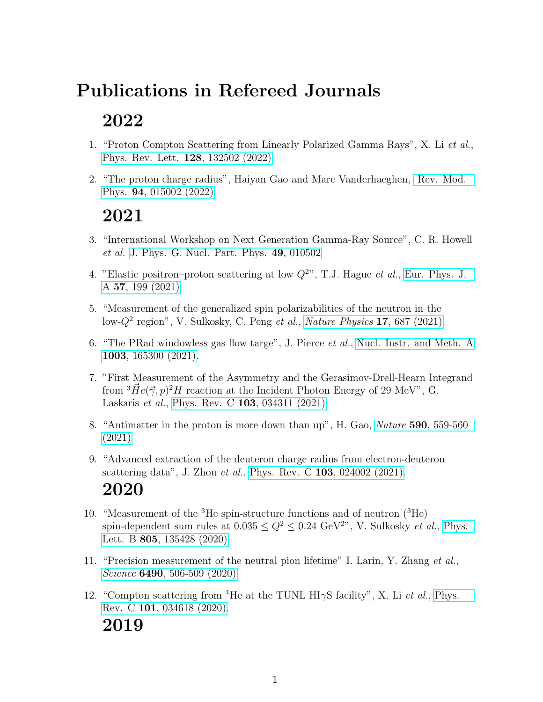# Publications in Refereed Journals

## 2022

- 1. "Proton Compton Scattering from Linearly Polarized Gamma Rays", X. Li et al., [Phys. Rev. Lett.](http://link.aps.org/doi/10.1103/PhysRevLett.128.132502) 128, 132502 (2022).
- 2. "The proton charge radius", Haiyan Gao and Marc Vanderhaeghen, [Rev. Mod.](https://doi.org/10.1103/RevModPhys.94.015002) Phys. 94[, 015002 \(2022\)](https://doi.org/10.1103/RevModPhys.94.015002)

- 3. "International Workshop on Next Generation Gamma-Ray Source", C. R. Howell et al. [J. Phys. G: Nucl. Part. Phys.](https://doi.org/10.1088/1361-6471/ac2827) 49, 010502
- 4. "Elastic positron–proton scattering at low  $Q^{2}$ ", T.J. Hague *et al.*, [Eur. Phys. J.](https://doi.org/10.1140/epja/s10050-021-00508-6) A 57[, 199 \(2021\)](https://doi.org/10.1140/epja/s10050-021-00508-6)
- 5. "Measurement of the generalized spin polarizabilities of the neutron in the low- $Q^2$  region", V. Sulkosky, C. Peng et al., [Nature Physics](https://doi.org/10.1038/s41567-021-01245-9) 17, 687 (2021)
- 6. "The PRad windowless gas flow targe", J. Pierce et al., [Nucl. Instr. and Meth. A](http://dx.doi.org/10.1016/j.nima.2021.165300) 1003[, 165300 \(2021\).](http://dx.doi.org/10.1016/j.nima.2021.165300)
- 7. "First Measurement of the Asymmetry and the Gerasimov-Drell-Hearn Integrand from  ${}^{3}\vec{H}e(\vec{\gamma},p){}^{2}H$  reaction at the Incident Photon Energy of 29 MeV", G. Laskaris et al., Phys. Rev. C 103[, 034311 \(2021\).](http://dx.doi.org/10.1103/PhysRevC.103.034311)
- 8. "Antimatter in the proton is more down than up", H. Gao, Nature 590[, 559-560](https://www.nature.com/articles/d41586-021-00430-3) [\(2021\)](https://www.nature.com/articles/d41586-021-00430-3)
- 9. "Advanced extraction of the deuteron charge radius from electron-deuteron scattering data", J. Zhou et al., Phys. Rev. C 103[, 024002 \(2021\).](http://dx.doi.org/10.1103/PhysRevC.103.024002) 2020
- 10. "Measurement of the  ${}^{3}$ He spin-structure functions and of neutron  $({}^{3}$ He) spin-dependent sum rules at  $0.035 \le Q^2 \le 0.24$  GeV<sup>2</sup>", V. Sulkosky *et al.*, [Phys.](http://dx.doi.org/10.1016/j.physletb.2020.135428) Lett. B 805[, 135428 \(2020\).](http://dx.doi.org/10.1016/j.physletb.2020.135428)
- 11. "Precision measurement of the neutral pion lifetime" I. Larin, Y. Zhang et al., Science 6490[, 506-509 \(2020\)](https://science.sciencemag.org/content/368/6490/506)
- 12. "Compton scattering from <sup>4</sup>He at the TUNL HI<sub>7</sub>S facility", X. Li *et al.*, [Phys.](http://dx.doi.org/10.1103/PhysRevC.101.034618) Rev. C 101[, 034618 \(2020\).](http://dx.doi.org/10.1103/PhysRevC.101.034618) 2019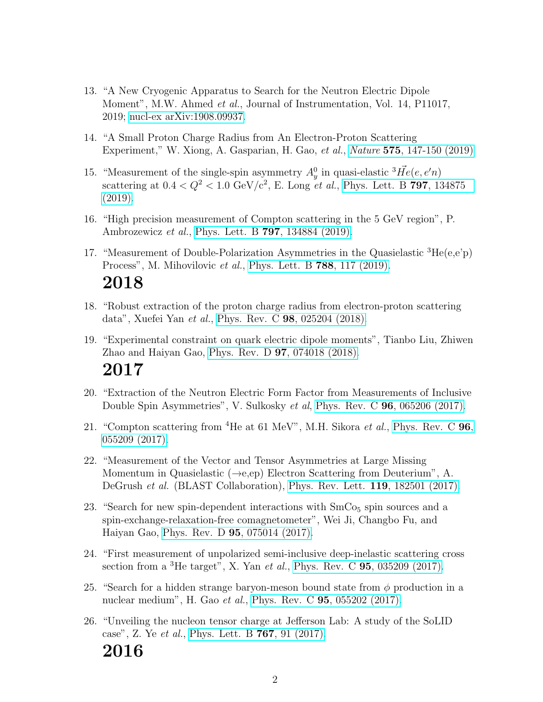- 13. "A New Cryogenic Apparatus to Search for the Neutron Electric Dipole Moment", M.W. Ahmed et al., Journal of Instrumentation, Vol. 14, P11017, 2019; [nucl-ex arXiv:1908.09937.](https://arxiv.org/abs/1908.09937)
- 14. "A Small Proton Charge Radius from An Electron-Proton Scattering Experiment," W. Xiong, A. Gasparian, H. Gao, et al., Nature 575[, 147-150 \(2019\)](https://www.nature.com/articles/s41586-019-1721-2)
- 15. "Measurement of the single-spin asymmetry  $A_y^0$  in quasi-elastic  ${}^3\vec{He}(e,e'n)$ scattering at  $0.4 < Q^2 < 1.0$  GeV/c<sup>2</sup>, E. Long *et al.*, [Phys. Lett. B](http://dx.doi.org/10.1016/j.physletb.2019.134875) **797**, 134875 [\(2019\).](http://dx.doi.org/10.1016/j.physletb.2019.134875)
- 16. "High precision measurement of Compton scattering in the 5 GeV region", P. Ambrozewicz et al., Phys. Lett. B 797[, 134884 \(2019\).](http://dx.doi.org/10.1016/j.physletb.2019.134884)
- 17. "Measurement of Double-Polarization Asymmetries in the Quasielastic  ${}^{3}He(e,e^{\prime}p)$ Process", M. Mihovilovic et al., [Phys. Lett. B](http://dx.doi.org/10.1016/j.physletb.2018.10.063) 788, 117 (2019). 2018
- 18. "Robust extraction of the proton charge radius from electron-proton scattering data", Xuefei Yan et al., Phys. Rev. C 98[, 025204 \(2018\).](http://dx.doi.org/10.1103/PhysRevC.98.025204)
- 19. "Experimental constraint on quark electric dipole moments", Tianbo Liu, Zhiwen Zhao and Haiyan Gao, Phys. Rev. D 97[, 074018 \(2018\).](http://dx.doi.org/10.1103/PhysRevD.97.074018) 2017
- 20. "Extraction of the Neutron Electric Form Factor from Measurements of Inclusive Double Spin Asymmetries", V. Sulkosky et al, Phys. Rev. C 96[, 065206 \(2017\).](http://dx.doi.org/10.1103/PhysRevC.96.065206)
- 21. "Compton scattering from <sup>4</sup>He at 61 MeV", M.H. Sikora *et al.*, [Phys. Rev. C](http://dx.doi.org/10.1103/PhysRevC.96.055209)  $96$ , [055209 \(2017\).](http://dx.doi.org/10.1103/PhysRevC.96.055209)
- 22. "Measurement of the Vector and Tensor Asymmetries at Large Missing Momentum in Quasielastic  $(\rightarrow e,e)$  Electron Scattering from Deuterium", A. DeGrush et al. (BLAST Collaboration), [Phys. Rev. Lett.](http://link.aps.org/doi/10.1103/PhysRevLett.119.182501) 119, 182501 (2017).
- 23. "Search for new spin-dependent interactions with  $\rm SmCo_5$  spin sources and a spin-exchange-relaxation-free comagnetometer", Wei Ji, Changbo Fu, and Haiyan Gao, Phys. Rev. D 95[, 075014 \(2017\).](http://dx.doi.org/10.1103/PhysRevD.95.075014)
- 24. "First measurement of unpolarized semi-inclusive deep-inelastic scattering cross section from a  ${}^{3}$ He target", X. Yan *et al.*, Phys. Rev. C  $95$ [, 035209 \(2017\).](http://dx.doi.org/10.1103/PhysRevC.95.035209)
- 25. "Search for a hidden strange baryon-meson bound state from  $\phi$  production in a nuclear medium", H. Gao et al., Phys. Rev. C 95[, 055202 \(2017\).](http://dx.doi.org/10.1103/PhysRevC.95.055202)
- 26. "Unveiling the nucleon tensor charge at Jefferson Lab: A study of the SoLID case", Z. Ye et al., [Phys. Lett. B](http://dx.doi.org/10.1016/j.physletb.2017.01.046) 767, 91 (2017). 2016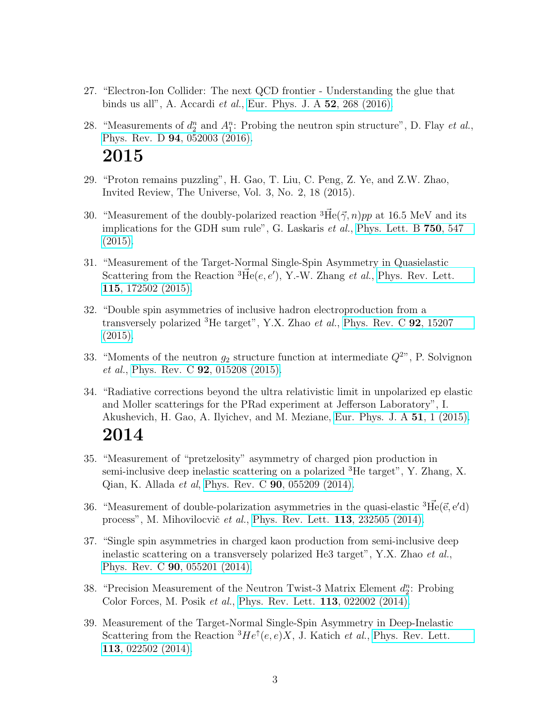- 27. "Electron-Ion Collider: The next QCD frontier Understanding the glue that binds us all", A. Accardi et al., [Eur. Phys. J. A](http://dx.doi.org/10.1140/epja/i2016-16268-9) 52, 268 (2016).
- 28. "Measurements of  $d_2^n$  and  $A_1^n$ : Probing the neutron spin structure", D. Flay *et al.*, Phys. Rev. D 94[, 052003 \(2016\).](http://link.aps.org/doi/10.1103/PhysRevD.94.052003) 2015
- 29. "Proton remains puzzling", H. Gao, T. Liu, C. Peng, Z. Ye, and Z.W. Zhao, Invited Review, The Universe, Vol. 3, No. 2, 18 (2015).
- 30. "Measurement of the doubly-polarized reaction  ${}^{3}\vec{He}(\vec{\gamma},n)pp$  at 16.5 MeV and its implications for the GDH sum rule", G. Laskaris et al., [Phys. Lett. B](http://dx.doi.org/10.1016/j.physletb.2015.09.065) 750, 547 [\(2015\).](http://dx.doi.org/10.1016/j.physletb.2015.09.065)
- 31. "Measurement of the Target-Normal Single-Spin Asymmetry in Quasielastic Scattering from the Reaction  ${}^{3}\vec{He}(e, e'), \vec{Y}.$  W. Zhang et al., [Phys. Rev. Lett.](http://link.aps.org/doi/10.1103/PhysRevLett.115.172502) 115[, 172502 \(2015\).](http://link.aps.org/doi/10.1103/PhysRevLett.115.172502)
- 32. "Double spin asymmetries of inclusive hadron electroproduction from a transversely polarized <sup>3</sup>He target", Y.X. Zhao et al., [Phys. Rev. C](http://link.aps.org/doi/10.1103/PhysRevC.92.015207) 92, 15207 [\(2015\).](http://link.aps.org/doi/10.1103/PhysRevC.92.015207)
- 33. "Moments of the neutron  $g_2$  structure function at intermediate  $Q^{2n}$ , P. Solvignon et al., Phys. Rev. C 92[, 015208 \(2015\).](http://link.aps.org/doi/10.1103/PhysRevC.92.015208)
- 34. "Radiative corrections beyond the ultra relativistic limit in unpolarized ep elastic and Moller scatterings for the PRad experiment at Jefferson Laboratory", I. Akushevich, H. Gao, A. Ilyichev, and M. Meziane, [Eur. Phys. J. A](http://link.springer.com/article/10.1140%2Fepja%2Fi2015-15001-8) 51, 1 (2015). 2014
- 35. "Measurement of "pretzelosity" asymmetry of charged pion production in semi-inclusive deep inelastic scattering on a polarized  ${}^{3}$ He target", Y. Zhang, X. Qian, K. Allada et al, Phys. Rev. C 90[, 055209 \(2014\).](http://link.aps.org/doi/10.1103/PhysRevC.90.055209)
- 36. "Measurement of double-polarization asymmetries in the quasi-elastic  ${}^{3}H\vec{e}(\vec{e}, e'd)$ process", M. Mihovilocvič et al., [Phys. Rev. Lett.](http://link.aps.org/doi/10.1103/PhysRevLett.113.232505) 113, 232505 (2014).
- 37. "Single spin asymmetries in charged kaon production from semi-inclusive deep inelastic scattering on a transversely polarized He3 target", Y.X. Zhao et al., Phys. Rev. C 90[, 055201 \(2014\).](http://link.aps.org/doi/10.1103/PhysRevC.90.055201)
- 38. "Precision Measurement of the Neutron Twist-3 Matrix Element  $d_2^n$ : Probing Color Forces, M. Posik et al., [Phys. Rev. Lett.](http://link.aps.org/doi/10.1103/PhysRevLett.113.022002) 113, 022002 (2014).
- 39. Measurement of the Target-Normal Single-Spin Asymmetry in Deep-Inelastic Scattering from the Reaction  ${}^{3}He^{\uparrow}(e,e)X$ , J. Katich *et al.*, [Phys. Rev. Lett.](http://link.aps.org/doi/10.1103/PhysRevLett.113.022502) 113[, 022502 \(2014\).](http://link.aps.org/doi/10.1103/PhysRevLett.113.022502)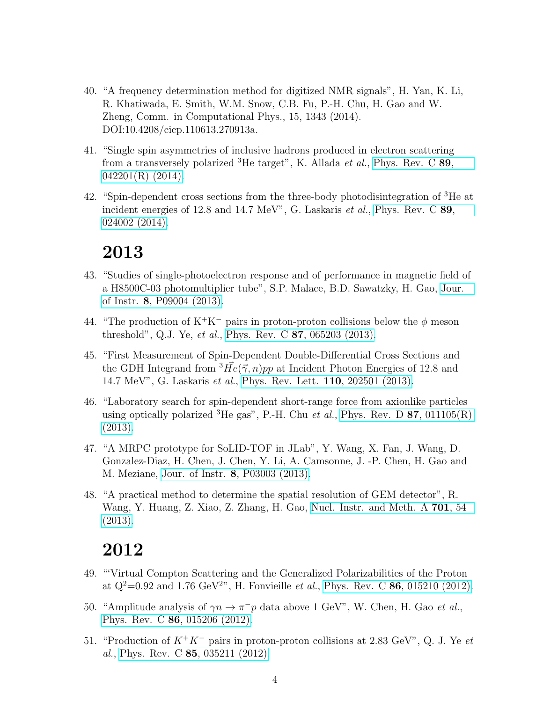- 40. "A frequency determination method for digitized NMR signals", H. Yan, K. Li, R. Khatiwada, E. Smith, W.M. Snow, C.B. Fu, P.-H. Chu, H. Gao and W. Zheng, Comm. in Computational Phys., 15, 1343 (2014). DOI:10.4208/cicp.110613.270913a.
- 41. "Single spin asymmetries of inclusive hadrons produced in electron scattering from a transversely polarized  ${}^{3}$ He target", K. Allada *et al.*, [Phys. Rev. C](http://link.aps.org/doi/10.1103/PhysRevC.89.042201) 89, [042201\(R\) \(2014\).](http://link.aps.org/doi/10.1103/PhysRevC.89.042201)
- 42. "Spin-dependent cross sections from the three-body photodisintegration of <sup>3</sup>He at incident energies of 12.8 and 14.7 MeV", G. Laskaris *et al.*, [Phys. Rev. C](http://link.aps.org/doi/10.1103/PhysRevC.89.024002) 89, [024002 \(2014\).](http://link.aps.org/doi/10.1103/PhysRevC.89.024002)

- 43. "Studies of single-photoelectron response and of performance in magnetic field of a H8500C-03 photomultiplier tube", S.P. Malace, B.D. Sawatzky, H. Gao, [Jour.](http://dx.doi.org/10.1088/1748-0221/8/09/P09004) of Instr. 8[, P09004 \(2013\).](http://dx.doi.org/10.1088/1748-0221/8/09/P09004)
- 44. "The production of K<sup>+</sup>K<sup>-</sup> pairs in proton-proton collisions below the  $\phi$  meson threshold", Q.J. Ye, et al., Phys. Rev. C 87[, 065203 \(2013\).](http://link.aps.org/doi/10.1103/PhysRevC.87.065203)
- 45. "First Measurement of Spin-Dependent Double-Differential Cross Sections and the GDH Integrand from  ${}^3\vec{He}(\vec{7}, n)pp$  at Incident Photon Energies of 12.8 and 14.7 MeV", G. Laskaris et al., [Phys. Rev. Lett.](http://link.aps.org/doi/10.1103/PhysRevLett.110.202501) 110, 202501 (2013).
- 46. "Laboratory search for spin-dependent short-range force from axionlike particles using optically polarized <sup>3</sup>He gas", P.-H. Chu *et al.*, [Phys. Rev. D](http://link.aps.org/doi/10.1103/PhysRevD.87.011105) **87**, 011105(R) [\(2013\).](http://link.aps.org/doi/10.1103/PhysRevD.87.011105)
- 47. "A MRPC prototype for SoLID-TOF in JLab", Y. Wang, X. Fan, J. Wang, D. Gonzalez-Diaz, H. Chen, J. Chen, Y. Li, A. Camsonne, J. -P. Chen, H. Gao and M. Meziane, Jour. of Instr. 8[, P03003 \(2013\).](http://dx.doi.org/10.1088/1748-0221/8/03/P03003)
- 48. "A practical method to determine the spatial resolution of GEM detector", R. Wang, Y. Huang, Z. Xiao, Z. Zhang, H. Gao, [Nucl. Instr. and Meth. A](http://dx.doi.org/10.1016/j.nima.2013.701.54) 701, 54 [\(2013\).](http://dx.doi.org/10.1016/j.nima.2013.701.54)

- 49. "'Virtual Compton Scattering and the Generalized Polarizabilities of the Proton at  $Q^2=0.92$  and 1.76 GeV<sup>2</sup>", H. Fonvieille *et al.*, Phys. Rev. C **86**[, 015210 \(2012\).](http://link.aps.org/doi/10.1103/PhysRevC.86.015210)
- 50. "Amplitude analysis of  $\gamma n \to \pi^- p$  data above 1 GeV", W. Chen, H. Gao *et al.*, Phys. Rev. C 86[, 015206 \(2012\).](http://link.aps.org/doi/10.1103/PhysRevC.86.015206)
- 51. "Production of  $K^+K^-$  pairs in proton-proton collisions at 2.83 GeV", Q. J. Ye et al., Phys. Rev. C 85[, 035211 \(2012\).](http://link.aps.org/doi/10.1103/PhysRevC.85.035211)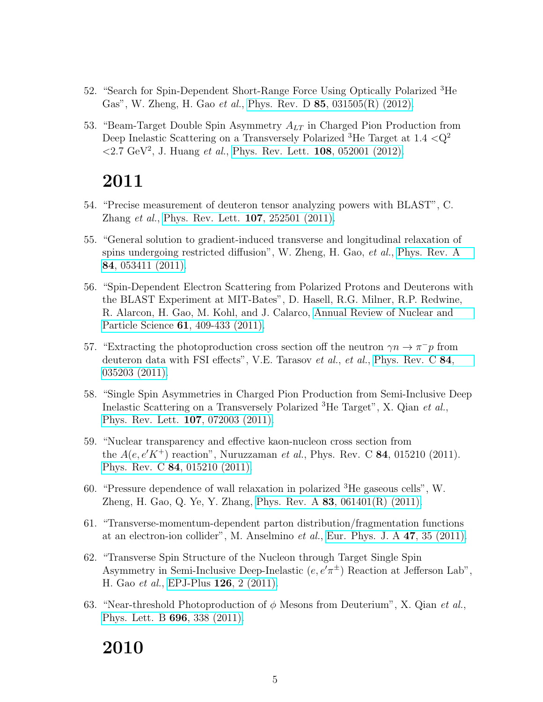- 52. "Search for Spin-Dependent Short-Range Force Using Optically Polarized <sup>3</sup>He Gas", W. Zheng, H. Gao et al., Phys. Rev. D 85[, 031505\(R\) \(2012\).](http://link.aps.org/doi/10.1103/PhysRevD.85.031505)
- 53. "Beam-Target Double Spin Asymmetry  $A_{LT}$  in Charged Pion Production from Deep Inelastic Scattering on a Transversely Polarized <sup>3</sup>He Target at  $1.4 < Q<sup>2</sup>$  $\langle 2.7 \text{ GeV}^2, \text{ J. Huang } et \text{ al., Phys. Rev. Lett. } 108, 052001 \text{ (2012)}.$  $\langle 2.7 \text{ GeV}^2, \text{ J. Huang } et \text{ al., Phys. Rev. Lett. } 108, 052001 \text{ (2012)}.$  $\langle 2.7 \text{ GeV}^2, \text{ J. Huang } et \text{ al., Phys. Rev. Lett. } 108, 052001 \text{ (2012)}.$

- 54. "Precise measurement of deuteron tensor analyzing powers with BLAST", C. Zhang et al., [Phys. Rev. Lett.](http://link.aps.org/doi/10.1103/PhysRevLett.107.252501) 107, 252501 (2011).
- 55. "General solution to gradient-induced transverse and longitudinal relaxation of spins undergoing restricted diffusion", W. Zheng, H. Gao, et al., [Phys. Rev. A](http://link.aps.org/doi/10.1103/PhysRevA.84.053411) 84[, 053411 \(2011\).](http://link.aps.org/doi/10.1103/PhysRevA.84.053411)
- 56. "Spin-Dependent Electron Scattering from Polarized Protons and Deuterons with the BLAST Experiment at MIT-Bates", D. Hasell, R.G. Milner, R.P. Redwine, R. Alarcon, H. Gao, M. Kohl, and J. Calarco, [Annual Review of Nuclear and](http://www.annualreviews.org/doi/pdf/10.1146/annurev-nucl-100809-131956) Particle Science 61[, 409-433 \(2011\).](http://www.annualreviews.org/doi/pdf/10.1146/annurev-nucl-100809-131956)
- 57. "Extracting the photoproduction cross section off the neutron  $\gamma n \to \pi^- p$  from deuteron data with FSI effects", V.E. Tarasov et al., et al., [Phys. Rev. C](http://link.aps.org/doi/10.1103/PhysRevC.84.035203) 84, [035203 \(2011\).](http://link.aps.org/doi/10.1103/PhysRevC.84.035203)
- 58. "Single Spin Asymmetries in Charged Pion Production from Semi-Inclusive Deep Inelastic Scattering on a Transversely Polarized <sup>3</sup>He Target", X. Qian et al., [Phys. Rev. Lett.](http://link.aps.org/doi/10.1103/PhysRevLett.107.072003) 107, 072003 (2011).
- 59. "Nuclear transparency and effective kaon-nucleon cross section from the  $A(e, e'K^+)$  reaction", Nuruzzaman et al., Phys. Rev. C 84, 015210 (2011). Phys. Rev. C 84[, 015210 \(2011\).](http://link.aps.org/doi/10.1103/PhysRevC.84.015210)
- 60. "Pressure dependence of wall relaxation in polarized <sup>3</sup>He gaseous cells", W. Zheng, H. Gao, Q. Ye, Y. Zhang, Phys. Rev. A 83[, 061401\(R\) \(2011\).](http://link.aps.org/doi/10.1103/PhysRevA.83.061401)
- 61. "Transverse-momentum-dependent parton distribution/fragmentation functions at an electron-ion collider", M. Anselmino et al., [Eur. Phys. J. A](https://link.springer.com/content/pdf/10.1140%2Fepja%2Fi2011-11035-2.pdf) 47, 35 (2011).
- 62. "Transverse Spin Structure of the Nucleon through Target Single Spin Asymmetry in Semi-Inclusive Deep-Inelastic  $(e, e^{\prime}\pi^{\pm})$  Reaction at Jefferson Lab", H. Gao et al., EPJ-Plus 126[, 2 \(2011\).](https://link.springer.com/article/10.1140%2Fepjp%2Fi2011-11002-4)
- 63. "Near-threshold Photoproduction of  $\phi$  Mesons from Deuterium", X. Qian *et al.*, [Phys. Lett. B](http://dx.doi.org/10.1016/j.physletb.2010.12.065) 696, 338 (2011).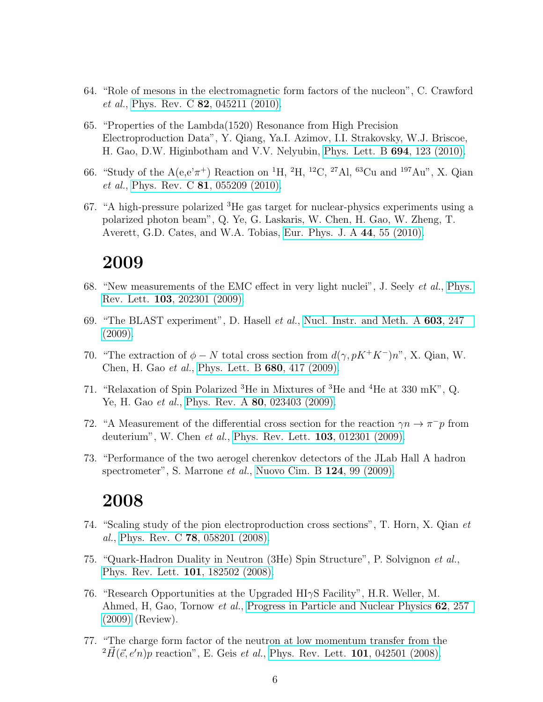- 64. "Role of mesons in the electromagnetic form factors of the nucleon", C. Crawford et al., Phys. Rev. C 82[, 045211 \(2010\).](http://link.aps.org/doi/10.1103/PhysRevC.82.045211)
- 65. "Properties of the Lambda(1520) Resonance from High Precision Electroproduction Data", Y. Qiang, Ya.I. Azimov, I.I. Strakovsky, W.J. Briscoe, H. Gao, D.W. Higinbotham and V.V. Nelyubin, [Phys. Lett. B](http://dx.doi.org/10.1016/j.physletb.2010.09.052) 694, 123 (2010).
- 66. "Study of the  $A(e,e^{\gamma}\pi^{+})$  Reaction on <sup>1</sup>H, <sup>2</sup>H, <sup>12</sup>C, <sup>27</sup>Al, <sup>63</sup>Cu and <sup>197</sup>Au", X. Qian et al., Phys. Rev. C 81[, 055209 \(2010\).](http://link.aps.org/doi/10.1103/PhysRevC.81.055209)
- 67. "A high-pressure polarized  ${}^{3}$ He gas target for nuclear-physics experiments using a polarized photon beam", Q. Ye, G. Laskaris, W. Chen, H. Gao, W. Zheng, T. Averett, G.D. Cates, and W.A. Tobias, [Eur. Phys. J. A](https://link.springer.com/article/10.1140%2Fepja%2Fi2010-10932-0) 44, 55 (2010).

- 68. "New measurements of the EMC effect in very light nuclei", J. Seely et al., [Phys.](http://link.aps.org/doi/10.1103/PhysRevLett.103.202301) Rev. Lett. 103[, 202301 \(2009\).](http://link.aps.org/doi/10.1103/PhysRevLett.103.202301)
- 69. "The BLAST experiment", D. Hasell et al., [Nucl. Instr. and Meth. A](http://dx.doi.org/10.1016/j.nima.2009.01.131) 603, 247 [\(2009\).](http://dx.doi.org/10.1016/j.nima.2009.01.131)
- 70. "The extraction of  $\phi N$  total cross section from  $d(\gamma, pK^+K^-)n$ ", X. Qian, W. Chen, H. Gao et al., [Phys. Lett. B](http://dx.doi.org/10.1016/j.physletb.2009.09.024) 680, 417 (2009).
- 71. "Relaxation of Spin Polarized <sup>3</sup>He in Mixtures of <sup>3</sup>He and <sup>4</sup>He at 330 mK", Q. Ye, H. Gao et al., Phys. Rev. A **80**[, 023403 \(2009\).](http://link.aps.org/doi/10.1103/PhysRevA.80.023403)
- 72. "A Measurement of the differential cross section for the reaction  $\gamma n \to \pi^- p$  from deuterium", W. Chen et al., [Phys. Rev. Lett.](http://link.aps.org/doi/10.1103/PhysRevLett.103.012301) **103**, 012301 (2009).
- 73. "Performance of the two aerogel cherenkov detectors of the JLab Hall A hadron spectrometer", S. Marrone *et al.*, [Nuovo Cim. B](http://dx.doi.org/10.1393/ncb/i2009-10743-5) 124, 99 (2009).

- 74. "Scaling study of the pion electroproduction cross sections", T. Horn, X. Qian et al., Phys. Rev. C 78[, 058201 \(2008\).](http://link.aps.org/doi/10.1103/PhysRevC.78.058201)
- 75. "Quark-Hadron Duality in Neutron (3He) Spin Structure", P. Solvignon et al., [Phys. Rev. Lett.](http://link.aps.org/doi/10.1103/PhysRevLett.101.182502) 101, 182502 (2008).
- 76. "Research Opportunities at the Upgraded  $HI\gamma S$  Facility", H.R. Weller, M. Ahmed, H, Gao, Tornow et al., [Progress in Particle and Nuclear Physics](http://dx.doi.org/10.1016/j.ppnp.2008.07.001) 62, 257 [\(2009\)](http://dx.doi.org/10.1016/j.ppnp.2008.07.001) (Review).
- 77. "The charge form factor of the neutron at low momentum transfer from the  $^{2}\vec{H}(\vec{e}, e'n)p$  reaction", E. Geis *et al.*, [Phys. Rev. Lett.](http://link.aps.org/doi/10.1103/PhysRevLett.101.042501) **101**, 042501 (2008).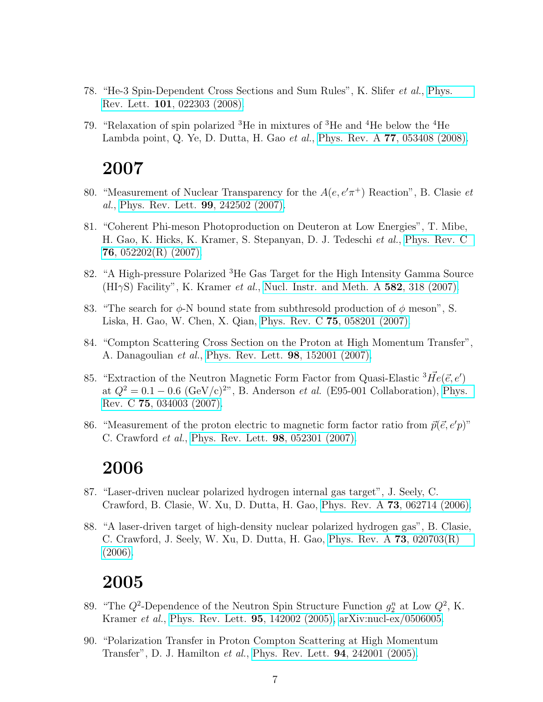- 78. "He-3 Spin-Dependent Cross Sections and Sum Rules", K. Slifer et al., [Phys.](http://link.aps.org/doi/10.1103/PhysRevLett.101.022303) Rev. Lett. 101[, 022303 \(2008\).](http://link.aps.org/doi/10.1103/PhysRevLett.101.022303)
- 79. "Relaxation of spin polarized  ${}^{3}$ He in mixtures of  ${}^{3}$ He and  ${}^{4}$ He below the  ${}^{4}$ He Lambda point, Q. Ye, D. Dutta, H. Gao et al., Phys. Rev. A 77[, 053408 \(2008\).](http://link.aps.org/doi/10.1103/PhysRevA.77.053408)

- 80. "Measurement of Nuclear Transparency for the  $A(e, e'\pi^+)$  Reaction", B. Clasie et al., [Phys. Rev. Lett.](http://link.aps.org/doi/10.1103/PhysRevLett.99.242502) 99, 242502 (2007).
- 81. "Coherent Phi-meson Photoproduction on Deuteron at Low Energies", T. Mibe, H. Gao, K. Hicks, K. Kramer, S. Stepanyan, D. J. Tedeschi et al., [Phys. Rev. C](http://link.aps.org/doi/10.1103/PhysRevC.76.052202) 76,  $052202(R)$  (2007).
- 82. "A High-pressure Polarized <sup>3</sup>He Gas Target for the High Intensity Gamma Source  $(HI\gamma S)$  Facility", K. Kramer *et al.*, [Nucl. Instr. and Meth. A](http://dx.doi.org/10.1016/j.nima.2007.08.243) 582, 318 (2007).
- 83. "The search for  $\phi$ -N bound state from subthresold production of  $\phi$  meson", S. Liska, H. Gao, W. Chen, X. Qian, Phys. Rev. C 75[, 058201 \(2007\).](http://link.aps.org/doi/10.1103/PhysRevC.75.058201)
- 84. "Compton Scattering Cross Section on the Proton at High Momentum Transfer", A. Danagoulian et al., [Phys. Rev. Lett.](http://link.aps.org/doi/10.1103/PhysRevLett.98.152001) 98, 152001 (2007).
- 85. "Extraction of the Neutron Magnetic Form Factor from Quasi-Elastic  ${}^{3}H\acute{e}(\vec{e},e^{\prime})$ at  $Q^2 = 0.1 - 0.6$  (GeV/c)<sup>2"</sup>, B. Anderson *et al.* (E95-001 Collaboration), [Phys.](http://link.aps.org/doi/10.1103/PhysRevC.75.034003) Rev. C 75[, 034003 \(2007\).](http://link.aps.org/doi/10.1103/PhysRevC.75.034003)
- 86. "Measurement of the proton electric to magnetic form factor ratio from  $\vec{p}(\vec{e}, e'p)$ " C. Crawford et al., [Phys. Rev. Lett.](http://link.aps.org/doi/10.1103/PhysRevLett.98.052301) 98, 052301 (2007).

## 2006

- 87. "Laser-driven nuclear polarized hydrogen internal gas target", J. Seely, C. Crawford, B. Clasie, W. Xu, D. Dutta, H. Gao, Phys. Rev. A 73[, 062714 \(2006\).](http://link.aps.org/doi/10.1103/PhysRevA.73.062714)
- 88. "A laser-driven target of high-density nuclear polarized hydrogen gas", B. Clasie, C. Crawford, J. Seely, W. Xu, D. Dutta, H. Gao, [Phys. Rev. A](http://link.aps.org/doi/10.1103/PhysRevA.73.020703) 73, 020703(R) [\(2006\).](http://link.aps.org/doi/10.1103/PhysRevA.73.020703)

- 89. "The  $Q^2$ -Dependence of the Neutron Spin Structure Function  $g_2^n$  at Low  $Q^2$ , K. Kramer et al., [Phys. Rev. Lett.](http://link.aps.org/doi/10.1103/PhysRevLett.95.142002) 95, 142002 (2005), [arXiv:nucl-ex/0506005.](http://arxiv.org/abs/nucl-ex/0506005)
- 90. "Polarization Transfer in Proton Compton Scattering at High Momentum Transfer", D. J. Hamilton et al., [Phys. Rev. Lett.](http://link.aps.org/doi/10.1103/PhysRevLett.94.242001) 94, 242001 (2005).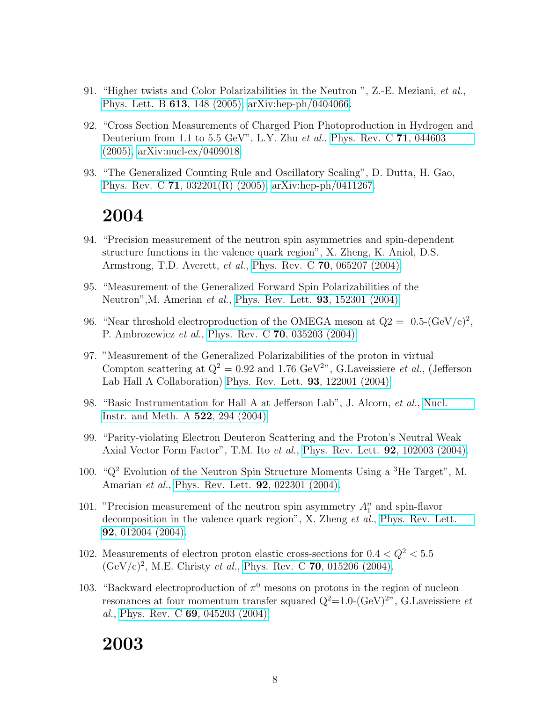- 91. "Higher twists and Color Polarizabilities in the Neutron ", Z.-E. Meziani, et al., [Phys. Lett. B](http://dx.doi.org/10.1016/j.physletb.2005.03.046) 613, 148 (2005), [arXiv:hep-ph/0404066.](http://arxiv.org/abs/hep-ph/0404066)
- 92. "Cross Section Measurements of Charged Pion Photoproduction in Hydrogen and Deuterium from 1.1 to 5.5 GeV", L.Y. Zhu et al., [Phys. Rev. C](http://link.aps.org/doi/10.1103/PhysRevC.71.044603) 71, 044603 [\(2005\),](http://link.aps.org/doi/10.1103/PhysRevC.71.044603) [arXiv:nucl-ex/0409018.](http://arxiv.org/abs/nucl-ex/0409018)
- 93. "The Generalized Counting Rule and Oscillatory Scaling", D. Dutta, H. Gao, Phys. Rev. C 71[, 032201\(R\) \(2005\),](http://link.aps.org/doi/10.1103/PhysRevC.71.032201(R)) [arXiv:hep-ph/0411267.](http://arxiv.org/abs/hep-ph/0411267)

- 94. "Precision measurement of the neutron spin asymmetries and spin-dependent structure functions in the valence quark region", X. Zheng, K. Aniol, D.S. Armstrong, T.D. Averett, et al., Phys. Rev. C 70[, 065207 \(2004\).](http://link.aps.org/doi/10.1103/PhysRevC.70.065207)
- 95. "Measurement of the Generalized Forward Spin Polarizabilities of the Neutron",M. Amerian et al., [Phys. Rev. Lett.](http://link.aps.org/doi/10.1103/PhysRevLett.93.152301) 93, 152301 (2004).
- 96. "Near threshold electroproduction of the OMEGA meson at  $Q2 = 0.5(GeV/c)^2$ , P. Ambrozewicz et al., Phys. Rev. C 70[, 035203 \(2004\).](http://link.aps.org/doi/10.1103/PhysRevC.70.035203)
- 97. "Measurement of the Generalized Polarizabilities of the proton in virtual Compton scattering at  $Q^2 = 0.92$  and 1.76 GeV<sup>2</sup>", G.Laveissiere *et al.*, (Jefferson Lab Hall A Collaboration) [Phys. Rev. Lett.](http://link.aps.org/doi/10.1103/PhysRevLett.93.122001) 93, 122001 (2004).
- 98. "Basic Instrumentation for Hall A at Jefferson Lab", J. Alcorn, et al., [Nucl.](http://dx.doi.org/10.1016/j.nima.2003.11.415) [Instr. and Meth. A](http://dx.doi.org/10.1016/j.nima.2003.11.415) 522, 294 (2004).
- 99. "Parity-violating Electron Deuteron Scattering and the Proton's Neutral Weak Axial Vector Form Factor", T.M. Ito et al., [Phys. Rev. Lett.](http://link.aps.org/doi/10.1103/PhysRevLett.92.102003) 92, 102003 (2004).
- 100. "Q<sup>2</sup> Evolution of the Neutron Spin Structure Moments Using a <sup>3</sup>He Target", M. Amarian et al., [Phys. Rev. Lett.](http://link.aps.org/doi/10.1103/PhysRevLett.92.022301) 92, 022301 (2004).
- 101. "Precision measurement of the neutron spin asymmetry  $A_1^n$  and spin-flavor decomposition in the valence quark region", X. Zheng et al., [Phys. Rev. Lett.](http://link.aps.org/doi/10.1103/PhysRevLett.92.012004) 92[, 012004 \(2004\).](http://link.aps.org/doi/10.1103/PhysRevLett.92.012004)
- 102. Measurements of electron proton elastic cross-sections for  $0.4 < Q^2 < 5.5$  $(GeV/c)^2$ , M.E. Christy et al., Phys. Rev. C 70[, 015206 \(2004\).](http://link.aps.org/doi/10.1103/PhysRevC.70.015206)
- 103. "Backward electroproduction of  $\pi^0$  mesons on protons in the region of nucleon resonances at four momentum transfer squared  $Q^2=1.0$ -(GeV)<sup>2"</sup>, G.Laveissiere *et* al., Phys. Rev. C 69[, 045203 \(2004\).](http://link.aps.org/doi/10.1103/PhysRevC.69.045203)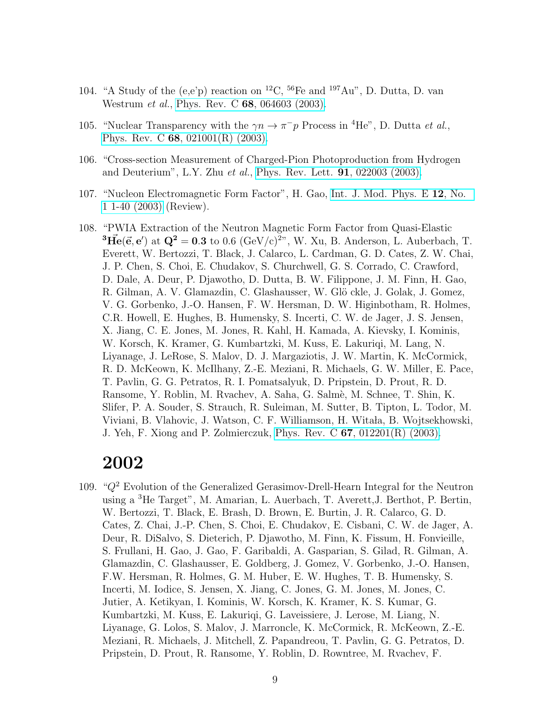- 104. "A Study of the  $(e,e'p)$  reaction on <sup>12</sup>C, <sup>56</sup>Fe and <sup>197</sup>Au", D. Dutta, D. van Westrum *et al.*, Phys. Rev. C **68**[, 064603 \(2003\).](http://link.aps.org/doi/10.1103/PhysRevC.68.064603)
- 105. "Nuclear Transparency with the  $\gamma n \to \pi^- p$  Process in <sup>4</sup>He", D. Dutta *et al.*, Phys. Rev. C 68[, 021001\(R\) \(2003\).](http://link.aps.org/doi/10.1103/PhysRevC.68.021001)
- 106. "Cross-section Measurement of Charged-Pion Photoproduction from Hydrogen and Deuterium", L.Y. Zhu et al., [Phys. Rev. Lett.](http://link.aps.org/doi/10.1103/PhysRevLett.91.022003)  $91, 022003$  (2003).
- 107. "Nucleon Electromagnetic Form Factor", H. Gao, [Int. J. Mod. Phys. E](http://dx.doi.org/10.1142/S021830130300117X) 12, No. [1 1-40 \(2003\)](http://dx.doi.org/10.1142/S021830130300117X) (Review).
- 108. "PWIA Extraction of the Neutron Magnetic Form Factor from Quasi-Elastic <sup>3</sup>He(e, e') at  $Q^2 = 0.3$  to 0.6 (GeV/c)<sup>2"</sup>, W. Xu, B. Anderson, L. Auberbach, T. Everett, W. Bertozzi, T. Black, J. Calarco, L. Cardman, G. D. Cates, Z. W. Chai, J. P. Chen, S. Choi, E. Chudakov, S. Churchwell, G. S. Corrado, C. Crawford, D. Dale, A. Deur, P. Djawotho, D. Dutta, B. W. Filippone, J. M. Finn, H. Gao, R. Gilman, A. V. Glamazdin, C. Glashausser, W. Glöckle, J. Golak, J. Gomez, V. G. Gorbenko, J.-O. Hansen, F. W. Hersman, D. W. Higinbotham, R. Holmes, C.R. Howell, E. Hughes, B. Humensky, S. Incerti, C. W. de Jager, J. S. Jensen, X. Jiang, C. E. Jones, M. Jones, R. Kahl, H. Kamada, A. Kievsky, I. Kominis, W. Korsch, K. Kramer, G. Kumbartzki, M. Kuss, E. Lakuriqi, M. Lang, N. Liyanage, J. LeRose, S. Malov, D. J. Margaziotis, J. W. Martin, K. McCormick, R. D. McKeown, K. McIlhany, Z.-E. Meziani, R. Michaels, G. W. Miller, E. Pace, T. Pavlin, G. G. Petratos, R. I. Pomatsalyuk, D. Pripstein, D. Prout, R. D. Ransome, Y. Roblin, M. Rvachev, A. Saha, G. Salm`e, M. Schnee, T. Shin, K. Slifer, P. A. Souder, S. Strauch, R. Suleiman, M. Sutter, B. Tipton, L. Todor, M. Viviani, B. Vlahovic, J. Watson, C. F. Williamson, H. Witała, B. Wojtsekhowski, J. Yeh, F. Xiong and P. Zolmierczuk, Phys. Rev. C 67[, 012201\(R\) \(2003\).](http://link.aps.org/doi/10.1103/PhysRevC.67.012201)

109. "Q<sup>2</sup> Evolution of the Generalized Gerasimov-Drell-Hearn Integral for the Neutron using a <sup>3</sup>He Target", M. Amarian, L. Auerbach, T. Averett,J. Berthot, P. Bertin, W. Bertozzi, T. Black, E. Brash, D. Brown, E. Burtin, J. R. Calarco, G. D. Cates, Z. Chai, J.-P. Chen, S. Choi, E. Chudakov, E. Cisbani, C. W. de Jager, A. Deur, R. DiSalvo, S. Dieterich, P. Djawotho, M. Finn, K. Fissum, H. Fonvieille, S. Frullani, H. Gao, J. Gao, F. Garibaldi, A. Gasparian, S. Gilad, R. Gilman, A. Glamazdin, C. Glashausser, E. Goldberg, J. Gomez, V. Gorbenko, J.-O. Hansen, F.W. Hersman, R. Holmes, G. M. Huber, E. W. Hughes, T. B. Humensky, S. Incerti, M. Iodice, S. Jensen, X. Jiang, C. Jones, G. M. Jones, M. Jones, C. Jutier, A. Ketikyan, I. Kominis, W. Korsch, K. Kramer, K. S. Kumar, G. Kumbartzki, M. Kuss, E. Lakuriqi, G. Laveissiere, J. Lerose, M. Liang, N. Liyanage, G. Lolos, S. Malov, J. Marroncle, K. McCormick, R. McKeown, Z.-E. Meziani, R. Michaels, J. Mitchell, Z. Papandreou, T. Pavlin, G. G. Petratos, D. Pripstein, D. Prout, R. Ransome, Y. Roblin, D. Rowntree, M. Rvachev, F.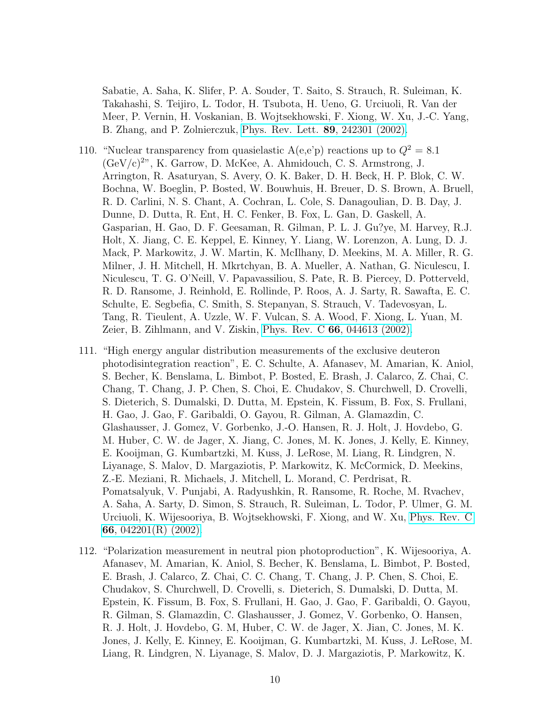Sabatie, A. Saha, K. Slifer, P. A. Souder, T. Saito, S. Strauch, R. Suleiman, K. Takahashi, S. Teijiro, L. Todor, H. Tsubota, H. Ueno, G. Urciuoli, R. Van der Meer, P. Vernin, H. Voskanian, B. Wojtsekhowski, F. Xiong, W. Xu, J.-C. Yang, B. Zhang, and P. Zolnierczuk, [Phys. Rev. Lett.](http://link.aps.org/doi/10.1103/PhysRevLett.89.242301) 89, 242301 (2002).

- 110. "Nuclear transparency from quasielastic A(e,e'p) reactions up to  $Q^2 = 8.1$  $(GeV/c)^{2\nu}$ , K. Garrow, D. McKee, A. Ahmidouch, C. S. Armstrong, J. Arrington, R. Asaturyan, S. Avery, O. K. Baker, D. H. Beck, H. P. Blok, C. W. Bochna, W. Boeglin, P. Bosted, W. Bouwhuis, H. Breuer, D. S. Brown, A. Bruell, R. D. Carlini, N. S. Chant, A. Cochran, L. Cole, S. Danagoulian, D. B. Day, J. Dunne, D. Dutta, R. Ent, H. C. Fenker, B. Fox, L. Gan, D. Gaskell, A. Gasparian, H. Gao, D. F. Geesaman, R. Gilman, P. L. J. Gu?ye, M. Harvey, R.J. Holt, X. Jiang, C. E. Keppel, E. Kinney, Y. Liang, W. Lorenzon, A. Lung, D. J. Mack, P. Markowitz, J. W. Martin, K. McIlhany, D. Meekins, M. A. Miller, R. G. Milner, J. H. Mitchell, H. Mkrtchyan, B. A. Mueller, A. Nathan, G. Niculescu, I. Niculescu, T. G. O'Neill, V. Papavassiliou, S. Pate, R. B. Piercey, D. Potterveld, R. D. Ransome, J. Reinhold, E. Rollinde, P. Roos, A. J. Sarty, R. Sawafta, E. C. Schulte, E. Segbefia, C. Smith, S. Stepanyan, S. Strauch, V. Tadevosyan, L. Tang, R. Tieulent, A. Uzzle, W. F. Vulcan, S. A. Wood, F. Xiong, L. Yuan, M. Zeier, B. Zihlmann, and V. Ziskin, Phys. Rev. C 66[, 044613 \(2002\).](http://link.aps.org/doi/10.1103/PhysRevC.66.044613)
- 111. "High energy angular distribution measurements of the exclusive deuteron photodisintegration reaction", E. C. Schulte, A. Afanasev, M. Amarian, K. Aniol, S. Becher, K. Benslama, L. Bimbot, P. Bosted, E. Brash, J. Calarco, Z. Chai, C. Chang, T. Chang, J. P. Chen, S. Choi, E. Chudakov, S. Churchwell, D. Crovelli, S. Dieterich, S. Dumalski, D. Dutta, M. Epstein, K. Fissum, B. Fox, S. Frullani, H. Gao, J. Gao, F. Garibaldi, O. Gayou, R. Gilman, A. Glamazdin, C. Glashausser, J. Gomez, V. Gorbenko, J.-O. Hansen, R. J. Holt, J. Hovdebo, G. M. Huber, C. W. de Jager, X. Jiang, C. Jones, M. K. Jones, J. Kelly, E. Kinney, E. Kooijman, G. Kumbartzki, M. Kuss, J. LeRose, M. Liang, R. Lindgren, N. Liyanage, S. Malov, D. Margaziotis, P. Markowitz, K. McCormick, D. Meekins, Z.-E. Meziani, R. Michaels, J. Mitchell, L. Morand, C. Perdrisat, R. Pomatsalyuk, V. Punjabi, A. Radyushkin, R. Ransome, R. Roche, M. Rvachev, A. Saha, A. Sarty, D. Simon, S. Strauch, R. Suleiman, L. Todor, P. Ulmer, G. M. Urciuoli, K. Wijesooriya, B. Wojtsekhowski, F. Xiong, and W. Xu, [Phys. Rev. C](http://link.aps.org/doi/10.1103/PhysRevC.66.042201) 66[, 042201\(R\) \(2002\).](http://link.aps.org/doi/10.1103/PhysRevC.66.042201)
- 112. "Polarization measurement in neutral pion photoproduction", K. Wijesooriya, A. Afanasev, M. Amarian, K. Aniol, S. Becher, K. Benslama, L. Bimbot, P. Bosted, E. Brash, J. Calarco, Z. Chai, C. C. Chang, T. Chang, J. P. Chen, S. Choi, E. Chudakov, S. Churchwell, D. Crovelli, s. Dieterich, S. Dumalski, D. Dutta, M. Epstein, K. Fissum, B. Fox, S. Frullani, H. Gao, J. Gao, F. Garibaldi, O. Gayou, R. Gilman, S. Glamazdin, C. Glashausser, J. Gomez, V. Gorbenko, O. Hansen, R. J. Holt, J. Hovdebo, G. M, Huber, C. W. de Jager, X. Jian, C. Jones, M. K. Jones, J. Kelly, E. Kinney, E. Kooijman, G. Kumbartzki, M. Kuss, J. LeRose, M. Liang, R. Lindgren, N. Liyanage, S. Malov, D. J. Margaziotis, P. Markowitz, K.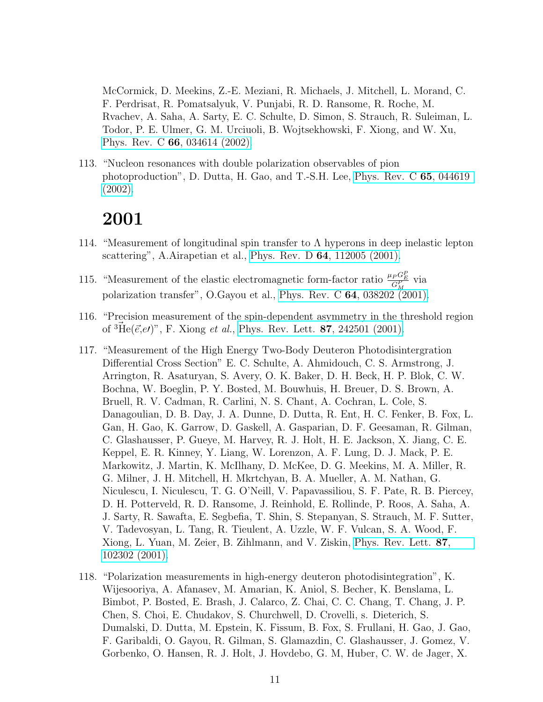McCormick, D. Meekins, Z.-E. Meziani, R. Michaels, J. Mitchell, L. Morand, C. F. Perdrisat, R. Pomatsalyuk, V. Punjabi, R. D. Ransome, R. Roche, M. Rvachev, A. Saha, A. Sarty, E. C. Schulte, D. Simon, S. Strauch, R. Suleiman, L. Todor, P. E. Ulmer, G. M. Urciuoli, B. Wojtsekhowski, F. Xiong, and W. Xu, Phys. Rev. C 66[, 034614 \(2002\).](http://link.aps.org/doi/10.1103/PhysRevC.66.034614)

113. "Nucleon resonances with double polarization observables of pion photoproduction", D. Dutta, H. Gao, and T.-S.H. Lee, [Phys. Rev. C](http://link.aps.org/doi/10.1103/PhysRevC.65.044619) 65, 044619 [\(2002\).](http://link.aps.org/doi/10.1103/PhysRevC.65.044619)

- 114. "Measurement of longitudinal spin transfer to  $\Lambda$  hyperons in deep inelastic lepton scattering", A.Airapetian et al., Phys. Rev. D 64[, 112005 \(2001\).](http://link.aps.org/doi/10.1103/PhysRevD.64.112005)
- 115. "Measurement of the elastic electromagnetic form-factor ratio  $\frac{\mu_P G_E^P}{G_M^P}$  via polarization transfer", O.Gayou et al., Phys. Rev. C  $64$ [, 038202 \(2001\).](http://link.aps.org/doi/10.1103/PhysRevC.64.038202)
- 116. "Precision measurement of the spin-dependent asymmetry in the threshold region of  ${}^{3}\text{He}(\vec{e}, e\prime)$ ", F. Xiong et al., [Phys. Rev. Lett.](http://link.aps.org/doi/10.1103/PhysRevLett.87.242501) 87, 242501 (2001).
- 117. "Measurement of the High Energy Two-Body Deuteron Photodisintergration Differential Cross Section" E. C. Schulte, A. Ahmidouch, C. S. Armstrong, J. Arrington, R. Asaturyan, S. Avery, O. K. Baker, D. H. Beck, H. P. Blok, C. W. Bochna, W. Boeglin, P. Y. Bosted, M. Bouwhuis, H. Breuer, D. S. Brown, A. Bruell, R. V. Cadman, R. Carlini, N. S. Chant, A. Cochran, L. Cole, S. Danagoulian, D. B. Day, J. A. Dunne, D. Dutta, R. Ent, H. C. Fenker, B. Fox, L. Gan, H. Gao, K. Garrow, D. Gaskell, A. Gasparian, D. F. Geesaman, R. Gilman, C. Glashausser, P. Gueye, M. Harvey, R. J. Holt, H. E. Jackson, X. Jiang, C. E. Keppel, E. R. Kinney, Y. Liang, W. Lorenzon, A. F. Lung, D. J. Mack, P. E. Markowitz, J. Martin, K. McIlhany, D. McKee, D. G. Meekins, M. A. Miller, R. G. Milner, J. H. Mitchell, H. Mkrtchyan, B. A. Mueller, A. M. Nathan, G. Niculescu, I. Niculescu, T. G. O'Neill, V. Papavassiliou, S. F. Pate, R. B. Piercey, D. H. Potterveld, R. D. Ransome, J. Reinhold, E. Rollinde, P. Roos, A. Saha, A. J. Sarty, R. Sawafta, E. Segbefia, T. Shin, S. Stepanyan, S. Strauch, M. F. Sutter, V. Tadevosyan, L. Tang, R. Tieulent, A. Uzzle, W. F. Vulcan, S. A. Wood, F. Xiong, L. Yuan, M. Zeier, B. Zihlmann, and V. Ziskin, [Phys. Rev. Lett.](http://link.aps.org/doi/10.1103/PhysRevLett.87.102302) 87, [102302 \(2001\).](http://link.aps.org/doi/10.1103/PhysRevLett.87.102302)
- 118. "Polarization measurements in high-energy deuteron photodisintegration", K. Wijesooriya, A. Afanasev, M. Amarian, K. Aniol, S. Becher, K. Benslama, L. Bimbot, P. Bosted, E. Brash, J. Calarco, Z. Chai, C. C. Chang, T. Chang, J. P. Chen, S. Choi, E. Chudakov, S. Churchwell, D. Crovelli, s. Dieterich, S. Dumalski, D. Dutta, M. Epstein, K. Fissum, B. Fox, S. Frullani, H. Gao, J. Gao, F. Garibaldi, O. Gayou, R. Gilman, S. Glamazdin, C. Glashausser, J. Gomez, V. Gorbenko, O. Hansen, R. J. Holt, J. Hovdebo, G. M, Huber, C. W. de Jager, X.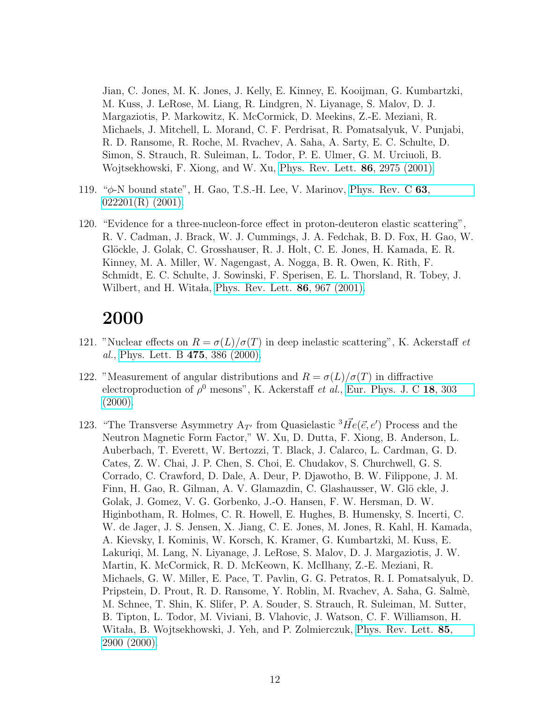Jian, C. Jones, M. K. Jones, J. Kelly, E. Kinney, E. Kooijman, G. Kumbartzki, M. Kuss, J. LeRose, M. Liang, R. Lindgren, N. Liyanage, S. Malov, D. J. Margaziotis, P. Markowitz, K. McCormick, D. Meekins, Z.-E. Meziani, R. Michaels, J. Mitchell, L. Morand, C. F. Perdrisat, R. Pomatsalyuk, V. Punjabi, R. D. Ransome, R. Roche, M. Rvachev, A. Saha, A. Sarty, E. C. Schulte, D. Simon, S. Strauch, R. Suleiman, L. Todor, P. E. Ulmer, G. M. Urciuoli, B. Wojtsekhowski, F. Xiong, and W. Xu, [Phys. Rev. Lett.](http://link.aps.org/doi/10.1103/PhysRevLett.86.2975) 86, 2975 (2001).

- 119. " $\phi$ -N bound state", H. Gao, T.S.-H. Lee, V. Marinov, [Phys. Rev. C](http://link.aps.org/doi/10.1103/PhysRevC.63.022201) 63,  $022201(R)$  (2001).
- 120. "Evidence for a three-nucleon-force effect in proton-deuteron elastic scattering", R. V. Cadman, J. Brack, W. J. Cummings, J. A. Fedchak, B. D. Fox, H. Gao, W. Glöckle, J. Golak, C. Grosshauser, R. J. Holt, C. E. Jones, H. Kamada, E. R. Kinney, M. A. Miller, W. Nagengast, A. Nogga, B. R. Owen, K. Rith, F. Schmidt, E. C. Schulte, J. Sowinski, F. Sperisen, E. L. Thorsland, R. Tobey, J. Wilbert, and H. Witała, [Phys. Rev. Lett.](http://link.aps.org/doi/10.1103/PhysRevLett.86.967)  $86, 967$  (2001).

- 121. "Nuclear effects on  $R = \sigma(L)/\sigma(T)$  in deep inelastic scattering", K. Ackerstaff *et* al., [Phys. Lett. B](http://dx.doi.org/10.1016/S0370-2693(99)01493-8) 475, 386 (2000).
- 122. "Measurement of angular distributions and  $R = \sigma(L)/\sigma(T)$  in diffractive electroproduction of  $\rho^0$  mesons", K. Ackerstaff *et al.*, [Eur. Phys. J. C](http://dx.doi.org/10.1007/s100520000536) 18, 303  $(2000).$
- 123. "The Transverse Asymmetry  $A_{T'}$  from Quasielastic  ${}^3\vec{He}(\vec{e}, e')$  Process and the Neutron Magnetic Form Factor," W. Xu, D. Dutta, F. Xiong, B. Anderson, L. Auberbach, T. Everett, W. Bertozzi, T. Black, J. Calarco, L. Cardman, G. D. Cates, Z. W. Chai, J. P. Chen, S. Choi, E. Chudakov, S. Churchwell, G. S. Corrado, C. Crawford, D. Dale, A. Deur, P. Djawotho, B. W. Filippone, J. M. Finn, H. Gao, R. Gilman, A. V. Glamazdin, C. Glashausser, W. Glöckle, J. Golak, J. Gomez, V. G. Gorbenko, J.-O. Hansen, F. W. Hersman, D. W. Higinbotham, R. Holmes, C. R. Howell, E. Hughes, B. Humensky, S. Incerti, C. W. de Jager, J. S. Jensen, X. Jiang, C. E. Jones, M. Jones, R. Kahl, H. Kamada, A. Kievsky, I. Kominis, W. Korsch, K. Kramer, G. Kumbartzki, M. Kuss, E. Lakuriqi, M. Lang, N. Liyanage, J. LeRose, S. Malov, D. J. Margaziotis, J. W. Martin, K. McCormick, R. D. McKeown, K. McIlhany, Z.-E. Meziani, R. Michaels, G. W. Miller, E. Pace, T. Pavlin, G. G. Petratos, R. I. Pomatsalyuk, D. Pripstein, D. Prout, R. D. Ransome, Y. Roblin, M. Rvachev, A. Saha, G. Salm`e, M. Schnee, T. Shin, K. Slifer, P. A. Souder, S. Strauch, R. Suleiman, M. Sutter, B. Tipton, L. Todor, M. Viviani, B. Vlahovic, J. Watson, C. F. Williamson, H. Witała, B. Wojtsekhowski, J. Yeh, and P. Zolmierczuk, [Phys. Rev. Lett.](http://link.aps.org/doi/10.1103/PhysRevLett.85.2900) 85, [2900 \(2000\).](http://link.aps.org/doi/10.1103/PhysRevLett.85.2900)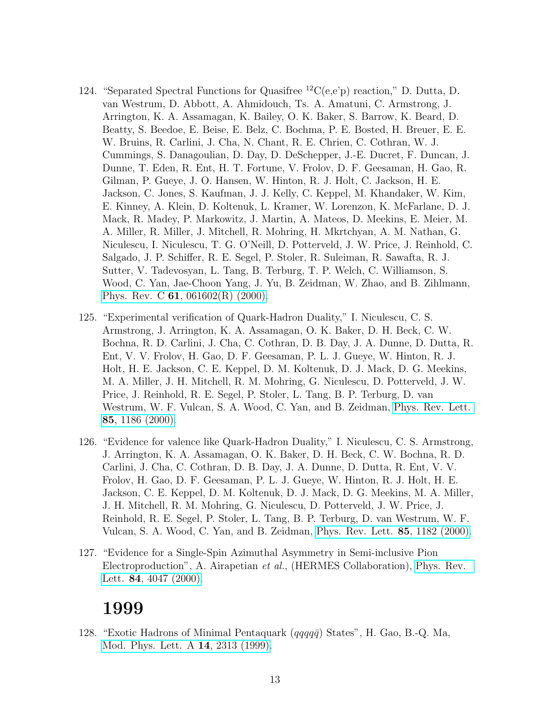- 124. "Separated Spectral Functions for Quasifree  ${}^{12}C(e,e^{\prime}p)$  reaction," D. Dutta, D. van Westrum, D. Abbott, A. Ahmidouch, Ts. A. Amatuni, C. Armstrong, J. Arrington, K. A. Assamagan, K. Bailey, O. K. Baker, S. Barrow, K. Beard, D. Beatty, S. Beedoe, E. Beise, E. Belz, C. Bochma, P. E. Bosted, H. Breuer, E. E. W. Bruins, R. Carlini, J. Cha, N. Chant, R. E. Chrien, C. Cothran, W. J. Cummings, S. Danagoulian, D. Day, D. DeSchepper, J.-E. Ducret, F. Duncan, J. Dunne, T. Eden, R. Ent, H. T. Fortune, V. Frolov, D. F. Geesaman, H. Gao, R. Gilman, P. Gueye, J. O. Hansen, W. Hinton, R. J. Holt, C. Jackson, H. E. Jackson, C. Jones, S. Kaufman, J. J. Kelly, C. Keppel, M. Khandaker, W. Kim, E. Kinney, A. Klein, D. Koltenuk, L. Kramer, W. Lorenzon, K. McFarlane, D. J. Mack, R. Madey, P. Markowitz, J. Martin, A. Mateos, D. Meekins, E. Meier, M. A. Miller, R. Miller, J. Mitchell, R. Mohring, H. Mkrtchyan, A. M. Nathan, G. Niculescu, I. Niculescu, T. G. O'Neill, D. Potterveld, J. W. Price, J. Reinhold, C. Salgado, J. P. Schiffer, R. E. Segel, P. Stoler, R. Suleiman, R. Sawafta, R. J. Sutter, V. Tadevosyan, L. Tang, B. Terburg, T. P. Welch, C. Williamson, S. Wood, C. Yan, Jae-Choon Yang, J. Yu, B. Zeidman, W. Zhao, and B. Zihlmann, Phys. Rev. C 61[, 061602\(R\) \(2000\).](http://link.aps.org/doi/10.1103/PhysRevC.61.061602)
- 125. "Experimental verification of Quark-Hadron Duality," I. Niculescu, C. S. Armstrong, J. Arrington, K. A. Assamagan, O. K. Baker, D. H. Beck, C. W. Bochna, R. D. Carlini, J. Cha, C. Cothran, D. B. Day, J. A. Dunne, D. Dutta, R. Ent, V. V. Frolov, H. Gao, D. F. Geesaman, P. L. J. Gueye, W. Hinton, R. J. Holt, H. E. Jackson, C. E. Keppel, D. M. Koltenuk, D. J. Mack, D. G. Meekins, M. A. Miller, J. H. Mitchell, R. M. Mohring, G. Niculescu, D. Potterveld, J. W. Price, J. Reinhold, R. E. Segel, P. Stoler, L. Tang, B. P. Terburg, D. van Westrum, W. F. Vulcan, S. A. Wood, C. Yan, and B. Zeidman, [Phys. Rev. Lett.](http://link.aps.org/doi/10.1103/PhysRevLett.85.1186) 85[, 1186 \(2000\).](http://link.aps.org/doi/10.1103/PhysRevLett.85.1186)
- 126. "Evidence for valence like Quark-Hadron Duality," I. Niculescu, C. S. Armstrong, J. Arrington, K. A. Assamagan, O. K. Baker, D. H. Beck, C. W. Bochna, R. D. Carlini, J. Cha, C. Cothran, D. B. Day, J. A. Dunne, D. Dutta, R. Ent, V. V. Frolov, H. Gao, D. F. Geesaman, P. L. J. Gueye, W. Hinton, R. J. Holt, H. E. Jackson, C. E. Keppel, D. M. Koltenuk, D. J. Mack, D. G. Meekins, M. A. Miller, J. H. Mitchell, R. M. Mohring, G. Niculescu, D. Potterveld, J. W. Price, J. Reinhold, R. E. Segel, P. Stoler, L. Tang, B. P. Terburg, D. van Westrum, W. F. Vulcan, S. A. Wood, C. Yan, and B. Zeidman, [Phys. Rev. Lett.](http://link.aps.org/doi/10.1103/PhysRevLett.85.1182) 85, 1182 (2000).
- 127. "Evidence for a Single-Spin Azimuthal Asymmetry in Semi-inclusive Pion Electroproduction", A. Airapetian et al., (HERMES Collaboration), [Phys. Rev.](http://link.aps.org/doi/10.1103/PhysRevLett.84.4047) Lett. **84**[, 4047 \(2000\).](http://link.aps.org/doi/10.1103/PhysRevLett.84.4047)

128. "Exotic Hadrons of Minimal Pentaquark  $(qqqq\bar{q})$  States", H. Gao, B.-Q. Ma, [Mod. Phys. Lett. A](http://dx.doi.org/10.1142/S021773239900239X) 14, 2313 (1999).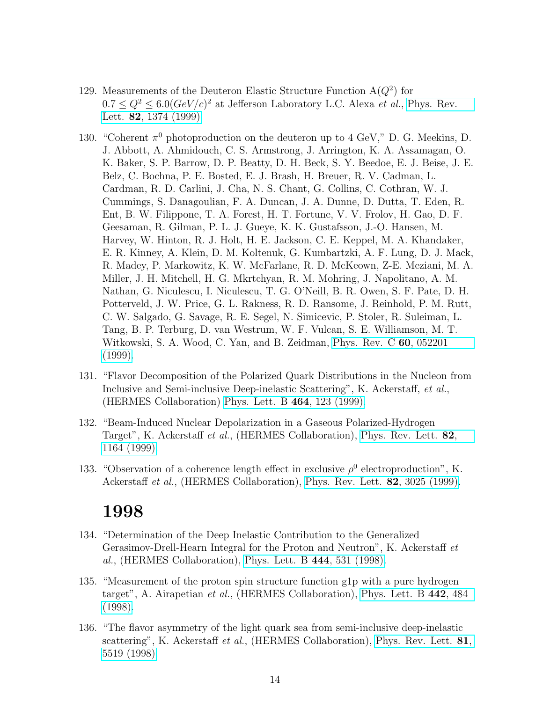- 129. Measurements of the Deuteron Elastic Structure Function  $A(Q^2)$  for  $0.7 \leq Q^2 \leq 6.0 (GeV/c)^2$  at Jefferson Laboratory L.C. Alexa *et al.*, [Phys. Rev.](http://link.aps.org/doi/10.1103/PhysRevLett.82.1374) Lett. 82[, 1374 \(1999\).](http://link.aps.org/doi/10.1103/PhysRevLett.82.1374)
- 130. "Coherent  $\pi^0$  photoproduction on the deuteron up to 4 GeV," D. G. Meekins, D. J. Abbott, A. Ahmidouch, C. S. Armstrong, J. Arrington, K. A. Assamagan, O. K. Baker, S. P. Barrow, D. P. Beatty, D. H. Beck, S. Y. Beedoe, E. J. Beise, J. E. Belz, C. Bochna, P. E. Bosted, E. J. Brash, H. Breuer, R. V. Cadman, L. Cardman, R. D. Carlini, J. Cha, N. S. Chant, G. Collins, C. Cothran, W. J. Cummings, S. Danagoulian, F. A. Duncan, J. A. Dunne, D. Dutta, T. Eden, R. Ent, B. W. Filippone, T. A. Forest, H. T. Fortune, V. V. Frolov, H. Gao, D. F. Geesaman, R. Gilman, P. L. J. Gueye, K. K. Gustafsson, J.-O. Hansen, M. Harvey, W. Hinton, R. J. Holt, H. E. Jackson, C. E. Keppel, M. A. Khandaker, E. R. Kinney, A. Klein, D. M. Koltenuk, G. Kumbartzki, A. F. Lung, D. J. Mack, R. Madey, P. Markowitz, K. W. McFarlane, R. D. McKeown, Z-E. Meziani, M. A. Miller, J. H. Mitchell, H. G. Mkrtchyan, R. M. Mohring, J. Napolitano, A. M. Nathan, G. Niculescu, I. Niculescu, T. G. O'Neill, B. R. Owen, S. F. Pate, D. H. Potterveld, J. W. Price, G. L. Rakness, R. D. Ransome, J. Reinhold, P. M. Rutt, C. W. Salgado, G. Savage, R. E. Segel, N. Simicevic, P. Stoler, R. Suleiman, L. Tang, B. P. Terburg, D. van Westrum, W. F. Vulcan, S. E. Williamson, M. T. Witkowski, S. A. Wood, C. Yan, and B. Zeidman, [Phys. Rev. C](http://link.aps.org/doi/10.1103/PhysRevC.60.052201) 60, 052201 [\(1999\).](http://link.aps.org/doi/10.1103/PhysRevC.60.052201)
- 131. "Flavor Decomposition of the Polarized Quark Distributions in the Nucleon from Inclusive and Semi-inclusive Deep-inelastic Scattering", K. Ackerstaff, et al., (HERMES Collaboration) [Phys. Lett. B](http://dx.doi.org/10.1016/S0370-2693(99)00964-8) 464, 123 (1999).
- 132. "Beam-Induced Nuclear Depolarization in a Gaseous Polarized-Hydrogen Target", K. Ackerstaff et al., (HERMES Collaboration), [Phys. Rev. Lett.](http://link.aps.org/doi/10.1103/PhysRevLett.82.1164) 82, [1164 \(1999\).](http://link.aps.org/doi/10.1103/PhysRevLett.82.1164)
- 133. "Observation of a coherence length effect in exclusive  $\rho^0$  electroproduction", K. Ackerstaff et al., (HERMES Collaboration), [Phys. Rev. Lett.](http://link.aps.org/doi/10.1103/PhysRevLett.82.3025) **82**, 3025 (1999).

- 134. "Determination of the Deep Inelastic Contribution to the Generalized Gerasimov-Drell-Hearn Integral for the Proton and Neutron", K. Ackerstaff et al., (HERMES Collaboration), [Phys. Lett. B](http://dx.doi.org/10.1016/S0370-2693(98)01396-3) 444, 531 (1998).
- 135. "Measurement of the proton spin structure function g1p with a pure hydrogen target", A. Airapetian et al., (HERMES Collaboration), [Phys. Lett. B](http://dx.doi.org/10.1016/S0370-2693(98)01341-0) 442, 484 [\(1998\).](http://dx.doi.org/10.1016/S0370-2693(98)01341-0)
- 136. "The flavor asymmetry of the light quark sea from semi-inclusive deep-inelastic scattering", K. Ackerstaff et al., (HERMES Collaboration), [Phys. Rev. Lett.](http://link.aps.org/doi/10.1103/PhysRevLett.81.5519) 81, [5519 \(1998\).](http://link.aps.org/doi/10.1103/PhysRevLett.81.5519)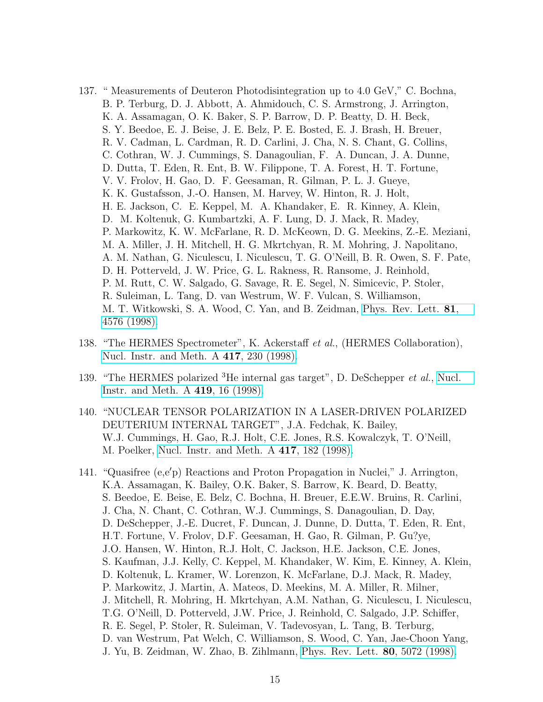- 137. " Measurements of Deuteron Photodisintegration up to 4.0 GeV," C. Bochna, B. P. Terburg, D. J. Abbott, A. Ahmidouch, C. S. Armstrong, J. Arrington, K. A. Assamagan, O. K. Baker, S. P. Barrow, D. P. Beatty, D. H. Beck, S. Y. Beedoe, E. J. Beise, J. E. Belz, P. E. Bosted, E. J. Brash, H. Breuer, R. V. Cadman, L. Cardman, R. D. Carlini, J. Cha, N. S. Chant, G. Collins, C. Cothran, W. J. Cummings, S. Danagoulian, F. A. Duncan, J. A. Dunne, D. Dutta, T. Eden, R. Ent, B. W. Filippone, T. A. Forest, H. T. Fortune, V. V. Frolov, H. Gao, D. F. Geesaman, R. Gilman, P. L. J. Gueye, K. K. Gustafsson, J.-O. Hansen, M. Harvey, W. Hinton, R. J. Holt, H. E. Jackson, C. E. Keppel, M. A. Khandaker, E. R. Kinney, A. Klein, D. M. Koltenuk, G. Kumbartzki, A. F. Lung, D. J. Mack, R. Madey, P. Markowitz, K. W. McFarlane, R. D. McKeown, D. G. Meekins, Z.-E. Meziani, M. A. Miller, J. H. Mitchell, H. G. Mkrtchyan, R. M. Mohring, J. Napolitano, A. M. Nathan, G. Niculescu, I. Niculescu, T. G. O'Neill, B. R. Owen, S. F. Pate, D. H. Potterveld, J. W. Price, G. L. Rakness, R. Ransome, J. Reinhold, P. M. Rutt, C. W. Salgado, G. Savage, R. E. Segel, N. Simicevic, P. Stoler, R. Suleiman, L. Tang, D. van Westrum, W. F. Vulcan, S. Williamson, M. T. Witkowski, S. A. Wood, C. Yan, and B. Zeidman, [Phys. Rev. Lett.](http://link.aps.org/doi/10.1103/PhysRevLett.81.4576) 81, [4576 \(1998\).](http://link.aps.org/doi/10.1103/PhysRevLett.81.4576)
- 138. "The HERMES Spectrometer", K. Ackerstaff et al., (HERMES Collaboration), [Nucl. Instr. and Meth. A](http://dx.doi.org/10.1016/S0168-9002(98)00769-4) 417, 230 (1998).
- 139. "The HERMES polarized <sup>3</sup>He internal gas target", D. DeSchepper et al., [Nucl.](http://dx.doi.org/10.1016/S0168-9002(98)00901-2) [Instr. and Meth. A](http://dx.doi.org/10.1016/S0168-9002(98)00901-2) 419, 16 (1998).
- 140. "NUCLEAR TENSOR POLARIZATION IN A LASER-DRIVEN POLARIZED DEUTERIUM INTERNAL TARGET", J.A. Fedchak, K. Bailey, W.J. Cummings, H. Gao, R.J. Holt, C.E. Jones, R.S. Kowalczyk, T. O'Neill, M. Poelker, [Nucl. Instr. and Meth. A](http://dx.doi.org/10.1016/S0168-9002(98)00738-4) 417, 182 (1998).
- 141. "Quasifree  $(e,e'p)$  Reactions and Proton Propagation in Nuclei," J. Arrington, K.A. Assamagan, K. Bailey, O.K. Baker, S. Barrow, K. Beard, D. Beatty, S. Beedoe, E. Beise, E. Belz, C. Bochna, H. Breuer, E.E.W. Bruins, R. Carlini, J. Cha, N. Chant, C. Cothran, W.J. Cummings, S. Danagoulian, D. Day, D. DeSchepper, J.-E. Ducret, F. Duncan, J. Dunne, D. Dutta, T. Eden, R. Ent, H.T. Fortune, V. Frolov, D.F. Geesaman, H. Gao, R. Gilman, P. Gu?ye, J.O. Hansen, W. Hinton, R.J. Holt, C. Jackson, H.E. Jackson, C.E. Jones, S. Kaufman, J.J. Kelly, C. Keppel, M. Khandaker, W. Kim, E. Kinney, A. Klein, D. Koltenuk, L. Kramer, W. Lorenzon, K. McFarlane, D.J. Mack, R. Madey, P. Markowitz, J. Martin, A. Mateos, D. Meekins, M. A. Miller, R. Milner, J. Mitchell, R. Mohring, H. Mkrtchyan, A.M. Nathan, G. Niculescu, I. Niculescu, T.G. O'Neill, D. Potterveld, J.W. Price, J. Reinhold, C. Salgado, J.P. Schiffer, R. E. Segel, P. Stoler, R. Suleiman, V. Tadevosyan, L. Tang, B. Terburg, D. van Westrum, Pat Welch, C. Williamson, S. Wood, C. Yan, Jae-Choon Yang, J. Yu, B. Zeidman, W. Zhao, B. Zihlmann, [Phys. Rev. Lett.](http://link.aps.org/doi/10.1103/PhysRevLett.80.5072) 80, 5072 (1998).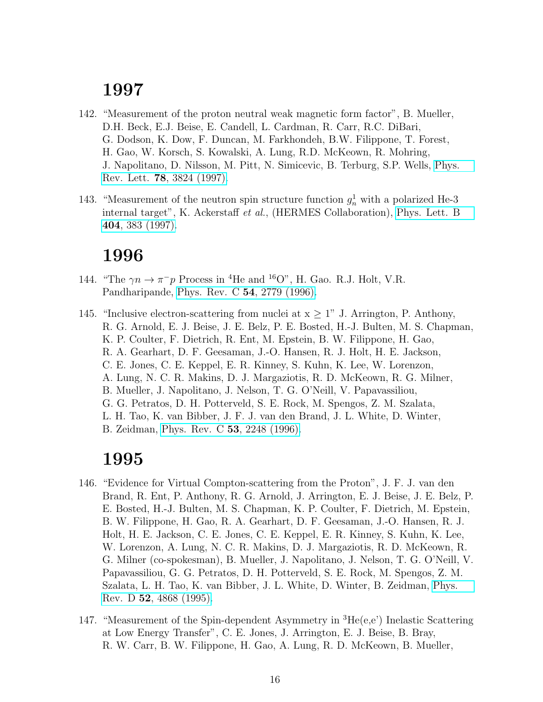- 142. "Measurement of the proton neutral weak magnetic form factor", B. Mueller, D.H. Beck, E.J. Beise, E. Candell, L. Cardman, R. Carr, R.C. DiBari, G. Dodson, K. Dow, F. Duncan, M. Farkhondeh, B.W. Filippone, T. Forest, H. Gao, W. Korsch, S. Kowalski, A. Lung, R.D. McKeown, R. Mohring, J. Napolitano, D. Nilsson, M. Pitt, N. Simicevic, B. Terburg, S.P. Wells, [Phys.](http://link.aps.org/doi/10.1103/PhysRevLett.78.3824) Rev. Lett. 78[, 3824 \(1997\).](http://link.aps.org/doi/10.1103/PhysRevLett.78.3824)
- 143. "Measurement of the neutron spin structure function  $g_n^1$  with a polarized He-3 internal target", K. Ackerstaff et al., (HERMES Collaboration), [Phys. Lett. B](http://dx.doi.org/10.1016/S0370-2693(97)00611-4) 404[, 383 \(1997\).](http://dx.doi.org/10.1016/S0370-2693(97)00611-4)

### 1996

- 144. "The  $\gamma n \to \pi^- p$  Process in <sup>4</sup>He and <sup>16</sup>O", H. Gao. R.J. Holt, V.R. Pandharipande, [Phys. Rev. C](http://link.aps.org/doi/10.1103/PhysRevC.54.2779) 54, 2779 (1996).
- 145. "Inclusive electron-scattering from nuclei at  $x \geq 1$ " J. Arrington, P. Anthony, R. G. Arnold, E. J. Beise, J. E. Belz, P. E. Bosted, H.-J. Bulten, M. S. Chapman, K. P. Coulter, F. Dietrich, R. Ent, M. Epstein, B. W. Filippone, H. Gao, R. A. Gearhart, D. F. Geesaman, J.-O. Hansen, R. J. Holt, H. E. Jackson, C. E. Jones, C. E. Keppel, E. R. Kinney, S. Kuhn, K. Lee, W. Lorenzon, A. Lung, N. C. R. Makins, D. J. Margaziotis, R. D. McKeown, R. G. Milner, B. Mueller, J. Napolitano, J. Nelson, T. G. O'Neill, V. Papavassiliou, G. G. Petratos, D. H. Potterveld, S. E. Rock, M. Spengos, Z. M. Szalata, L. H. Tao, K. van Bibber, J. F. J. van den Brand, J. L. White, D. Winter, B. Zeidman, [Phys. Rev. C](http://link.aps.org/doi/10.1103/PhysRevC.53.2248) 53, 2248 (1996).

- 146. "Evidence for Virtual Compton-scattering from the Proton", J. F. J. van den Brand, R. Ent, P. Anthony, R. G. Arnold, J. Arrington, E. J. Beise, J. E. Belz, P. E. Bosted, H.-J. Bulten, M. S. Chapman, K. P. Coulter, F. Dietrich, M. Epstein, B. W. Filippone, H. Gao, R. A. Gearhart, D. F. Geesaman, J.-O. Hansen, R. J. Holt, H. E. Jackson, C. E. Jones, C. E. Keppel, E. R. Kinney, S. Kuhn, K. Lee, W. Lorenzon, A. Lung, N. C. R. Makins, D. J. Margaziotis, R. D. McKeown, R. G. Milner (co-spokesman), B. Mueller, J. Napolitano, J. Nelson, T. G. O'Neill, V. Papavassiliou, G. G. Petratos, D. H. Potterveld, S. E. Rock, M. Spengos, Z. M. Szalata, L. H. Tao, K. van Bibber, J. L. White, D. Winter, B. Zeidman, [Phys.](http://link.aps.org/doi/10.1103/PhysRevD.52.4868) Rev. D 52[, 4868 \(1995\).](http://link.aps.org/doi/10.1103/PhysRevD.52.4868)
- 147. "Measurement of the Spin-dependent Asymmetry in  ${}^{3}He(e,e')$  Inelastic Scattering at Low Energy Transfer", C. E. Jones, J. Arrington, E. J. Beise, B. Bray, R. W. Carr, B. W. Filippone, H. Gao, A. Lung, R. D. McKeown, B. Mueller,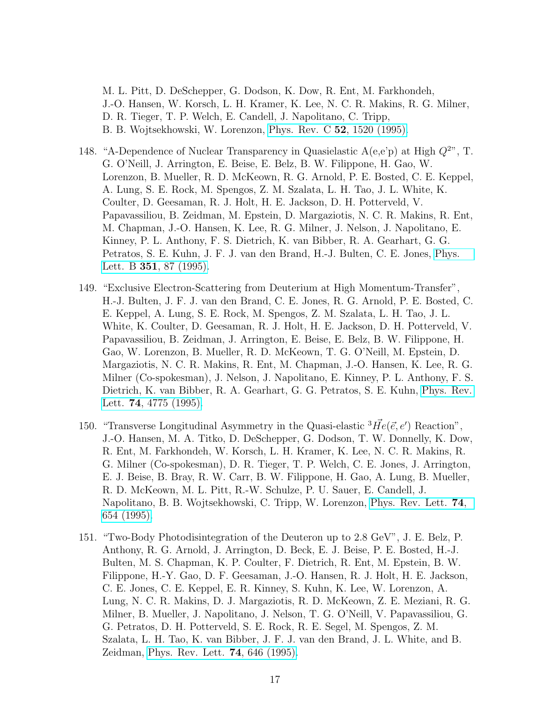M. L. Pitt, D. DeSchepper, G. Dodson, K. Dow, R. Ent, M. Farkhondeh, J.-O. Hansen, W. Korsch, L. H. Kramer, K. Lee, N. C. R. Makins, R. G. Milner, D. R. Tieger, T. P. Welch, E. Candell, J. Napolitano, C. Tripp, B. B. Wojtsekhowski, W. Lorenzon, [Phys. Rev. C](http://link.aps.org/doi/10.1103/PhysRevC.52.1520) 52, 1520 (1995).

- 148. "A-Dependence of Nuclear Transparency in Quasielastic  $A(e,e'p)$  at High  $Q^{2\nu}$ , T. G. O'Neill, J. Arrington, E. Beise, E. Belz, B. W. Filippone, H. Gao, W. Lorenzon, B. Mueller, R. D. McKeown, R. G. Arnold, P. E. Bosted, C. E. Keppel, A. Lung, S. E. Rock, M. Spengos, Z. M. Szalata, L. H. Tao, J. L. White, K. Coulter, D. Geesaman, R. J. Holt, H. E. Jackson, D. H. Potterveld, V. Papavassiliou, B. Zeidman, M. Epstein, D. Margaziotis, N. C. R. Makins, R. Ent, M. Chapman, J.-O. Hansen, K. Lee, R. G. Milner, J. Nelson, J. Napolitano, E. Kinney, P. L. Anthony, F. S. Dietrich, K. van Bibber, R. A. Gearhart, G. G. Petratos, S. E. Kuhn, J. F. J. van den Brand, H.-J. Bulten, C. E. Jones, [Phys.](http://dx.doi.org/10.1016/0370-2693(95)00362-O) Lett. B 351[, 87 \(1995\).](http://dx.doi.org/10.1016/0370-2693(95)00362-O)
- 149. "Exclusive Electron-Scattering from Deuterium at High Momentum-Transfer", H.-J. Bulten, J. F. J. van den Brand, C. E. Jones, R. G. Arnold, P. E. Bosted, C. E. Keppel, A. Lung, S. E. Rock, M. Spengos, Z. M. Szalata, L. H. Tao, J. L. White, K. Coulter, D. Geesaman, R. J. Holt, H. E. Jackson, D. H. Potterveld, V. Papavassiliou, B. Zeidman, J. Arrington, E. Beise, E. Belz, B. W. Filippone, H. Gao, W. Lorenzon, B. Mueller, R. D. McKeown, T. G. O'Neill, M. Epstein, D. Margaziotis, N. C. R. Makins, R. Ent, M. Chapman, J.-O. Hansen, K. Lee, R. G. Milner (Co-spokesman), J. Nelson, J. Napolitano, E. Kinney, P. L. Anthony, F. S. Dietrich, K. van Bibber, R. A. Gearhart, G. G. Petratos, S. E. Kuhn, [Phys. Rev.](http://link.aps.org/doi/10.1103/PhysRevLett.74.4775) Lett. 74[, 4775 \(1995\).](http://link.aps.org/doi/10.1103/PhysRevLett.74.4775)
- 150. "Transverse Longitudinal Asymmetry in the Quasi-elastic  ${}^{3} \vec{He}(\vec{e}, e')$  Reaction", J.-O. Hansen, M. A. Titko, D. DeSchepper, G. Dodson, T. W. Donnelly, K. Dow, R. Ent, M. Farkhondeh, W. Korsch, L. H. Kramer, K. Lee, N. C. R. Makins, R. G. Milner (Co-spokesman), D. R. Tieger, T. P. Welch, C. E. Jones, J. Arrington, E. J. Beise, B. Bray, R. W. Carr, B. W. Filippone, H. Gao, A. Lung, B. Mueller, R. D. McKeown, M. L. Pitt, R.-W. Schulze, P. U. Sauer, E. Candell, J. Napolitano, B. B. Wojtsekhowski, C. Tripp, W. Lorenzon, [Phys. Rev. Lett.](http://link.aps.org/doi/10.1103/PhysRevLett.74.654) 74, [654 \(1995\).](http://link.aps.org/doi/10.1103/PhysRevLett.74.654)
- 151. "Two-Body Photodisintegration of the Deuteron up to 2.8 GeV", J. E. Belz, P. Anthony, R. G. Arnold, J. Arrington, D. Beck, E. J. Beise, P. E. Bosted, H.-J. Bulten, M. S. Chapman, K. P. Coulter, F. Dietrich, R. Ent, M. Epstein, B. W. Filippone, H.-Y. Gao, D. F. Geesaman, J.-O. Hansen, R. J. Holt, H. E. Jackson, C. E. Jones, C. E. Keppel, E. R. Kinney, S. Kuhn, K. Lee, W. Lorenzon, A. Lung, N. C. R. Makins, D. J. Margaziotis, R. D. McKeown, Z. E. Meziani, R. G. Milner, B. Mueller, J. Napolitano, J. Nelson, T. G. O'Neill, V. Papavassiliou, G. G. Petratos, D. H. Potterveld, S. E. Rock, R. E. Segel, M. Spengos, Z. M. Szalata, L. H. Tao, K. van Bibber, J. F. J. van den Brand, J. L. White, and B. Zeidman, [Phys. Rev. Lett.](http://link.aps.org/doi/10.1103/PhysRevLett.74.646) 74, 646 (1995).